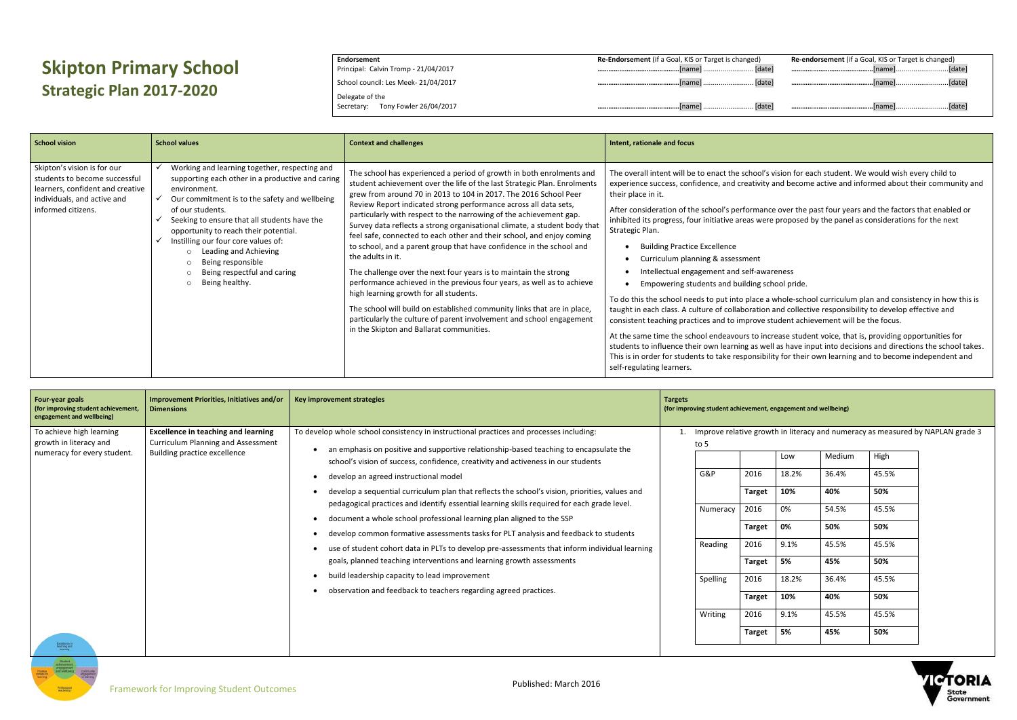## **Skipton Primary School Strategic Plan 2017-2020**

**Endorsement** Principal: Calvin Tromp - 21/04/2017 School council: Les Meek- 21/04/2017 Delegate of the Secretary: Tony Fowler 26/04/2017 **Re-Endorsement** (if a Goal, KIS or Target is changed) **………………………………………**[name] .......................... [date] **………………………………………**[name] .......................... [date] **………………………………………**[name] .......................... [date]

|    | Re-endorsement (if a Goal, KIS or Target is changed) |  |
|----|------------------------------------------------------|--|
| el |                                                      |  |
| el |                                                      |  |
| el |                                                      |  |

s vision for each student. We would wish every child to  $\mu$  and become active and informed about their community and

ce over the past four years and the factors that enabled or re proposed by the panel as considerations for the next

- areness
- hool pride.

whole-school curriculum plan and consistency in how this is i and collective responsibility to develop effective and student achievement will be the focus.

crease student voice, that is, providing opportunities for ell as have input into decisions and directions the school takes. lity for their own learning and to become independent and

by NAPLAN grade 3



| <b>School vision</b>                                                                                                                                  | <b>School values</b>                                                                                                                                                                                                                                                                                                                                                                                                             | <b>Context and challenges</b>                                                                                                                                                                                                                                                                                                                                                                                                                                                                                                                                                                                                                                                                                                                                                                                                                                                                                                                                                                            | Intent, rationale and focus                                                                                                                                                                                                                                                                                                                                                                                                                                                                                                                                                                                                                                                                                                                                  |
|-------------------------------------------------------------------------------------------------------------------------------------------------------|----------------------------------------------------------------------------------------------------------------------------------------------------------------------------------------------------------------------------------------------------------------------------------------------------------------------------------------------------------------------------------------------------------------------------------|----------------------------------------------------------------------------------------------------------------------------------------------------------------------------------------------------------------------------------------------------------------------------------------------------------------------------------------------------------------------------------------------------------------------------------------------------------------------------------------------------------------------------------------------------------------------------------------------------------------------------------------------------------------------------------------------------------------------------------------------------------------------------------------------------------------------------------------------------------------------------------------------------------------------------------------------------------------------------------------------------------|--------------------------------------------------------------------------------------------------------------------------------------------------------------------------------------------------------------------------------------------------------------------------------------------------------------------------------------------------------------------------------------------------------------------------------------------------------------------------------------------------------------------------------------------------------------------------------------------------------------------------------------------------------------------------------------------------------------------------------------------------------------|
| Skipton's vision is for our<br>students to become successful<br>learners, confident and creative<br>individuals, and active and<br>informed citizens. | Working and learning together, respecting and<br>supporting each other in a productive and caring<br>environment.<br>Our commitment is to the safety and wellbeing<br>of our students.<br>Seeking to ensure that all students have the<br>opportunity to reach their potential.<br>Instilling our four core values of:<br>Leading and Achieving<br>Being responsible<br>Being respectful and caring<br>Being healthy.<br>$\circ$ | The school has experienced a period of growth in both enrolments and<br>student achievement over the life of the last Strategic Plan. Enrolments<br>grew from around 70 in 2013 to 104 in 2017. The 2016 School Peer<br>Review Report indicated strong performance across all data sets,<br>particularly with respect to the narrowing of the achievement gap.<br>Survey data reflects a strong organisational climate, a student body that<br>feel safe, connected to each other and their school, and enjoy coming<br>to school, and a parent group that have confidence in the school and<br>the adults in it.<br>The challenge over the next four years is to maintain the strong<br>performance achieved in the previous four years, as well as to achieve<br>high learning growth for all students.<br>The school will build on established community links that are in place,<br>particularly the culture of parent involvement and school engagement<br>in the Skipton and Ballarat communities. | The overall intent will be to enact the school's<br>experience success, confidence, and creativity<br>their place in it.<br>After consideration of the school's performand<br>inhibited its progress, four initiative areas were<br>Strategic Plan.<br><b>Building Practice Excellence</b><br>Curriculum planning & assessment<br>Intellectual engagement and self-awa<br>Empowering students and building scl<br>To do this the school needs to put into place a<br>taught in each class. A culture of collaboration<br>consistent teaching practices and to improve s<br>At the same time the school endeavours to inc<br>students to influence their own learning as we<br>This is in order for students to take responsibil<br>self-regulating learners. |

| <b>Four-year goals</b><br>(for improving student achievement,<br>engagement and wellbeing) | Improvement Priorities, Initiatives and/or<br><b>Dimensions</b>                                | Key improvement strategies                                                                                                                                                                                                                                   | <b>Targets</b> | (for improving student achievement, engagement and wellbeing) |               |                                                                |        |       |
|--------------------------------------------------------------------------------------------|------------------------------------------------------------------------------------------------|--------------------------------------------------------------------------------------------------------------------------------------------------------------------------------------------------------------------------------------------------------------|----------------|---------------------------------------------------------------|---------------|----------------------------------------------------------------|--------|-------|
| To achieve high learning<br>growth in literacy and                                         | <b>Excellence in teaching and learning</b><br>Curriculum Planning and Assessment               | To develop whole school consistency in instructional practices and processes including:<br>an emphasis on positive and supportive relationship-based teaching to encapsulate the                                                                             |                | to 5                                                          |               | Improve relative growth in literacy and numeracy as measured I |        |       |
| numeracy for every student.                                                                | Building practice excellence                                                                   | school's vision of success, confidence, creativity and activeness in our students                                                                                                                                                                            |                |                                                               |               | Low                                                            | Medium | High  |
|                                                                                            |                                                                                                | develop an agreed instructional model                                                                                                                                                                                                                        |                | G&P                                                           | 2016          | 18.2%                                                          | 36.4%  | 45.5% |
|                                                                                            | develop a sequential curriculum plan that reflects the school's vision, priorities, values and |                                                                                                                                                                                                                                                              |                | <b>Target</b>                                                 | 10%           | 40%                                                            | 50%    |       |
|                                                                                            |                                                                                                | pedagogical practices and identify essential learning skills required for each grade level.<br>document a whole school professional learning plan aligned to the SSP<br>develop common formative assessments tasks for PLT analysis and feedback to students |                | Numeracy                                                      | 2016          | 0%                                                             | 54.5%  | 45.5% |
|                                                                                            |                                                                                                |                                                                                                                                                                                                                                                              |                |                                                               | <b>Target</b> | 0%                                                             | 50%    | 50%   |
|                                                                                            |                                                                                                | use of student cohort data in PLTs to develop pre-assessments that inform individual learning                                                                                                                                                                |                | Reading                                                       | 2016          | 9.1%                                                           | 45.5%  | 45.5% |
|                                                                                            |                                                                                                | goals, planned teaching interventions and learning growth assessments                                                                                                                                                                                        |                |                                                               | <b>Target</b> | 5%                                                             | 45%    | 50%   |
|                                                                                            |                                                                                                | build leadership capacity to lead improvement                                                                                                                                                                                                                |                | Spelling                                                      | 2016          | 18.2%                                                          | 36.4%  | 45.5% |
|                                                                                            | observation and feedback to teachers regarding agreed practices.                               |                                                                                                                                                                                                                                                              |                | <b>Target</b>                                                 | 10%           | 40%                                                            | 50%    |       |
|                                                                                            |                                                                                                |                                                                                                                                                                                                                                                              |                | Writing                                                       | 2016          | 9.1%                                                           | 45.5%  | 45.5% |
| Excellence in<br>teaching and<br>learning                                                  |                                                                                                |                                                                                                                                                                                                                                                              |                |                                                               | <b>Target</b> | 5%                                                             | 45%    | 50%   |

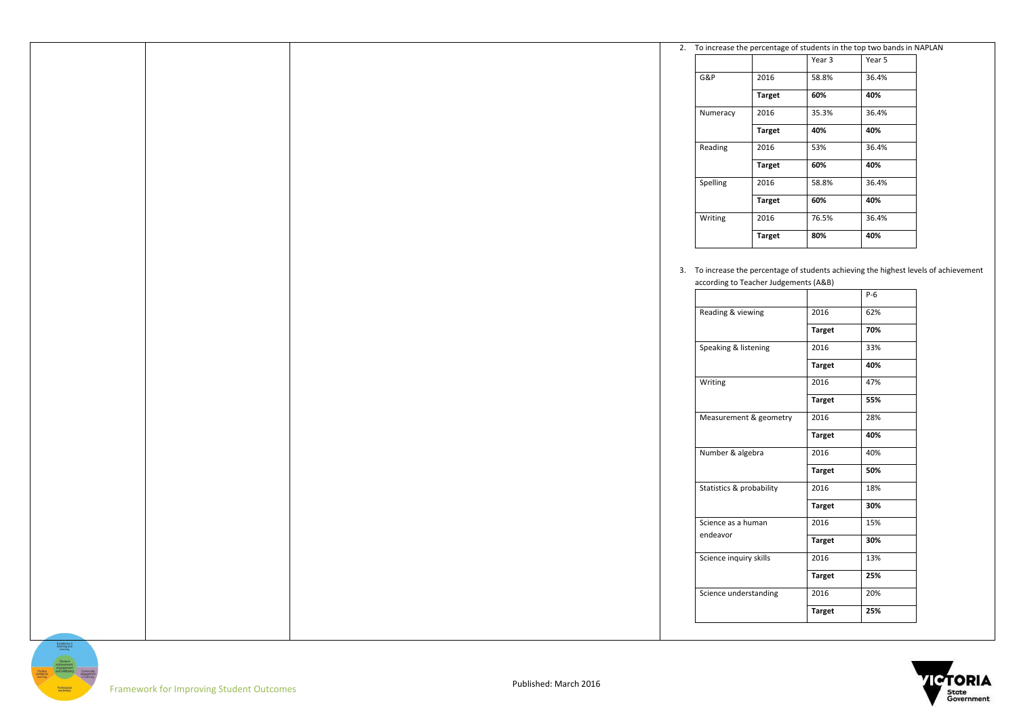| 2. To increase the percentage of students in the top two bands in NAPLAN |                       |                                       |                                                                                      |
|--------------------------------------------------------------------------|-----------------------|---------------------------------------|--------------------------------------------------------------------------------------|
| Year 5                                                                   | Year 3                |                                       |                                                                                      |
| 36.4%                                                                    | 58.8%                 | 2016                                  | G&P                                                                                  |
| 40%                                                                      | 60%                   | <b>Target</b>                         |                                                                                      |
| 36.4%                                                                    | 35.3%                 | 2016                                  | Numeracy                                                                             |
| 40%                                                                      | 40%                   | <b>Target</b>                         |                                                                                      |
|                                                                          |                       |                                       |                                                                                      |
| 36.4%                                                                    | 53%                   | 2016                                  | Reading                                                                              |
| 40%                                                                      | 60%                   | <b>Target</b>                         |                                                                                      |
| 36.4%                                                                    | 58.8%                 | 2016                                  | Spelling                                                                             |
| 40%                                                                      | 60%                   | <b>Target</b>                         |                                                                                      |
| 36.4%                                                                    | 76.5%                 | 2016                                  | Writing                                                                              |
| 40%                                                                      | 80%                   | <b>Target</b>                         |                                                                                      |
|                                                                          |                       |                                       |                                                                                      |
|                                                                          |                       |                                       |                                                                                      |
|                                                                          |                       | according to Teacher Judgements (A&B) | 3. To increase the percentage of students achieving the highest levels of a          |
| $P-6$                                                                    |                       |                                       |                                                                                      |
| 62%                                                                      | 2016                  |                                       | Reading & viewing                                                                    |
| 70%                                                                      |                       |                                       |                                                                                      |
|                                                                          | <b>Target</b>         |                                       |                                                                                      |
| 33%                                                                      | 2016                  |                                       | Speaking & listening                                                                 |
| 40%                                                                      | <b>Target</b>         |                                       |                                                                                      |
| 47%                                                                      | 2016                  |                                       | Writing                                                                              |
| 55%                                                                      | <b>Target</b>         |                                       |                                                                                      |
|                                                                          | 2016                  | Measurement & geometry                |                                                                                      |
| 28%                                                                      |                       |                                       |                                                                                      |
|                                                                          |                       |                                       |                                                                                      |
| 40%                                                                      | <b>Target</b>         |                                       |                                                                                      |
| 40%                                                                      | 2016                  |                                       | Number & algebra                                                                     |
| 50%                                                                      | <b>Target</b>         |                                       |                                                                                      |
| 18%                                                                      | 2016                  |                                       |                                                                                      |
| 30%                                                                      | <b>Target</b>         |                                       |                                                                                      |
| 15%                                                                      | 2016                  |                                       |                                                                                      |
| 30%                                                                      | <b>Target</b>         |                                       |                                                                                      |
| 13%                                                                      | 2016                  |                                       |                                                                                      |
|                                                                          |                       |                                       | Statistics & probability<br>Science as a human<br>endeavor<br>Science inquiry skills |
| 25%                                                                      | <b>Target</b>         |                                       |                                                                                      |
| 20%<br>25%                                                               | 2016<br><b>Target</b> |                                       | Science understanding                                                                |



of achievement

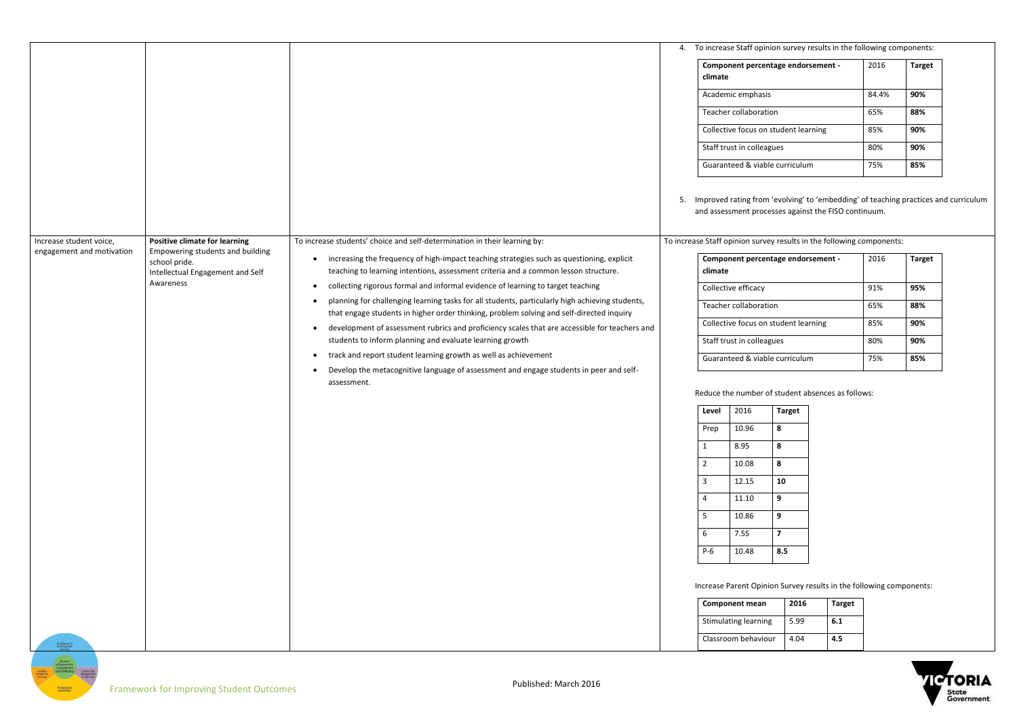|                                                      |                                                                          |                                                                                                                                                                                               | 4. |                                                                     | To increase Staff opinion survey results in the following components:                                                                                                                                    |               |               |  |
|------------------------------------------------------|--------------------------------------------------------------------------|-----------------------------------------------------------------------------------------------------------------------------------------------------------------------------------------------|----|---------------------------------------------------------------------|----------------------------------------------------------------------------------------------------------------------------------------------------------------------------------------------------------|---------------|---------------|--|
|                                                      |                                                                          |                                                                                                                                                                                               |    | climate                                                             | Component percentage endorsement -                                                                                                                                                                       | 2016          | <b>Target</b> |  |
|                                                      |                                                                          |                                                                                                                                                                                               |    |                                                                     | Academic emphasis                                                                                                                                                                                        | 84.4%         | 90%           |  |
|                                                      |                                                                          |                                                                                                                                                                                               |    |                                                                     | Teacher collaboration                                                                                                                                                                                    | 65%           | 88%           |  |
|                                                      |                                                                          |                                                                                                                                                                                               |    |                                                                     | Collective focus on student learning                                                                                                                                                                     | 85%           | 90%           |  |
|                                                      |                                                                          |                                                                                                                                                                                               |    |                                                                     | Staff trust in colleagues                                                                                                                                                                                | 80%           | 90%           |  |
|                                                      |                                                                          |                                                                                                                                                                                               |    |                                                                     | Guaranteed & viable curriculum                                                                                                                                                                           | 75%           | 85%           |  |
| Increase student voice,<br>engagement and motivation | <b>Positive climate for learning</b><br>Empowering students and building | To increase students' choice and self-determination in their learning by:                                                                                                                     | 5. |                                                                     | Improved rating from 'evolving' to 'embedding' of teaching practices an<br>and assessment processes against the FISO continuum.<br>To increase Staff opinion survey results in the following components: |               |               |  |
|                                                      | school pride.<br>Intellectual Engagement and Self                        | increasing the frequency of high-impact teaching strategies such as questioning, explicit<br>$\bullet$<br>teaching to learning intentions, assessment criteria and a common lesson structure. |    | climate                                                             | Component percentage endorsement -                                                                                                                                                                       | 2016          | <b>Target</b> |  |
|                                                      | Awareness                                                                | collecting rigorous formal and informal evidence of learning to target teaching<br>$\bullet$                                                                                                  |    | Collective efficacy                                                 |                                                                                                                                                                                                          | 91%           | 95%           |  |
|                                                      |                                                                          | planning for challenging learning tasks for all students, particularly high achieving students,<br>that engage students in higher order thinking, problem solving and self-directed inquiry   |    |                                                                     | Teacher collaboration                                                                                                                                                                                    | 65%           | 88%           |  |
|                                                      |                                                                          | development of assessment rubrics and proficiency scales that are accessible for teachers and<br>$\bullet$                                                                                    |    |                                                                     | Collective focus on student learning                                                                                                                                                                     | 85%           | 90%           |  |
|                                                      |                                                                          | students to inform planning and evaluate learning growth                                                                                                                                      |    |                                                                     | Staff trust in colleagues                                                                                                                                                                                | 80%           | 90%           |  |
|                                                      |                                                                          | track and report student learning growth as well as achievement<br>٠<br>Develop the metacognitive language of assessment and engage students in peer and self-                                |    |                                                                     | Guaranteed & viable curriculum                                                                                                                                                                           | 75%           | 85%           |  |
|                                                      |                                                                          | assessment.                                                                                                                                                                                   |    |                                                                     | Reduce the number of student absences as follows:                                                                                                                                                        |               |               |  |
|                                                      |                                                                          |                                                                                                                                                                                               |    | Level                                                               | 2016<br><b>Target</b>                                                                                                                                                                                    |               |               |  |
|                                                      |                                                                          |                                                                                                                                                                                               |    | Prep                                                                | 10.96<br>8                                                                                                                                                                                               |               |               |  |
|                                                      |                                                                          |                                                                                                                                                                                               |    | $\mathbf{1}$                                                        | 8.95<br>8                                                                                                                                                                                                |               |               |  |
|                                                      |                                                                          |                                                                                                                                                                                               |    | $\overline{2}$                                                      | 8<br>10.08                                                                                                                                                                                               |               |               |  |
|                                                      |                                                                          |                                                                                                                                                                                               |    | $\overline{3}$                                                      | 10<br>12.15                                                                                                                                                                                              |               |               |  |
|                                                      |                                                                          |                                                                                                                                                                                               |    | $\overline{4}$                                                      | $9^{\circ}$<br>11.10                                                                                                                                                                                     |               |               |  |
|                                                      |                                                                          |                                                                                                                                                                                               |    | 5                                                                   | 9<br>10.86                                                                                                                                                                                               |               |               |  |
|                                                      |                                                                          |                                                                                                                                                                                               |    | 6                                                                   | $\overline{7}$<br>7.55                                                                                                                                                                                   |               |               |  |
|                                                      |                                                                          |                                                                                                                                                                                               |    | $P-6$                                                               | 8.5<br>10.48                                                                                                                                                                                             |               |               |  |
|                                                      |                                                                          |                                                                                                                                                                                               |    | Increase Parent Opinion Survey results in the following components: |                                                                                                                                                                                                          |               |               |  |
|                                                      |                                                                          |                                                                                                                                                                                               |    | 2016<br><b>Component mean</b>                                       |                                                                                                                                                                                                          | <b>Target</b> |               |  |
|                                                      |                                                                          |                                                                                                                                                                                               |    |                                                                     | 5.99<br>Stimulating learning                                                                                                                                                                             | 6.1           |               |  |
|                                                      |                                                                          |                                                                                                                                                                                               |    |                                                                     | Classroom behaviour<br>4.04                                                                                                                                                                              | 4.5           |               |  |



nd curriculum